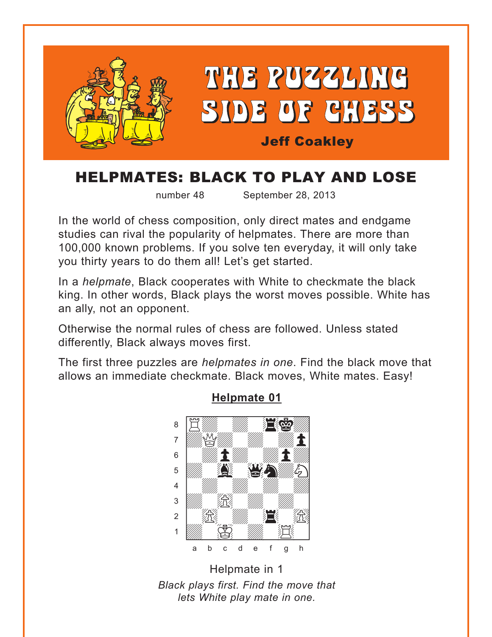<span id="page-0-0"></span>

# HELPMATES: BLACK TO PLAY AND LOSE

number 48

September 28, 2013

In the world of chess composition, only direct mates and endgame studies can rival the popularity of helpmates. There are more than 100,000 known problems. If you solve ten everyday, it will only take you thirty years to do them all! Let's get started.

In a *helpmate*, Black cooperates with White to checkmate the black king. In other words, Black plays the worst moves possible. White has an ally, not an opponent.

Otherwise the normal rules of chess are followed. Unless stated differently, Black always moves first.

The first three puzzles are *helpmates in one*. Find the black move that allows an immediate checkmate. Black moves, White mates. Easy!



#### **Helpmate 01**

Helpmate in 1 Black plays first. Find the move that lets White play mate in one.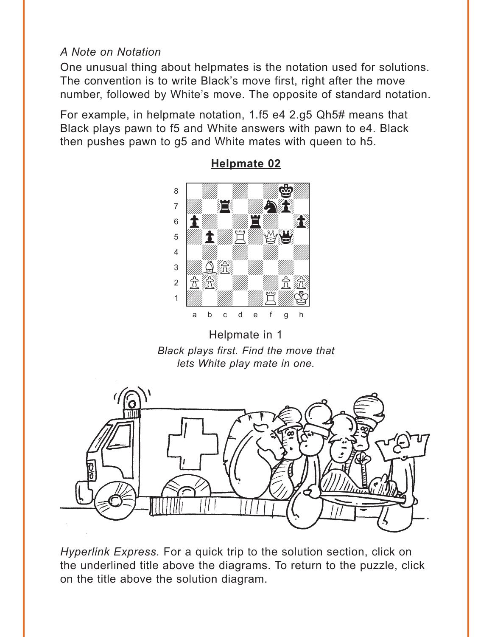# <span id="page-1-0"></span>*A Note on Notation*

One unusual thing about helpmates is the notation used for solutions. The convention is to write Black's move first, right after the move number, followed by White's move. The opposite of standard notation.

For example, in helpmate notation, 1.f5 e4 2.g5 Qh5# means that Black plays pawn to f5 and White answers with pawn to e4. Black then pushes pawn to g5 and White mates with queen to h5.



**[Helpmate 02](#page-8-0)**

Helpmate in 1 *Black plays first. Find the move that lets White play mate in one.* 



*Hyperlink Express.* For a quick trip to the solution section, click on the underlined title above the diagrams. To return to the puzzle, click on the title above the solution diagram.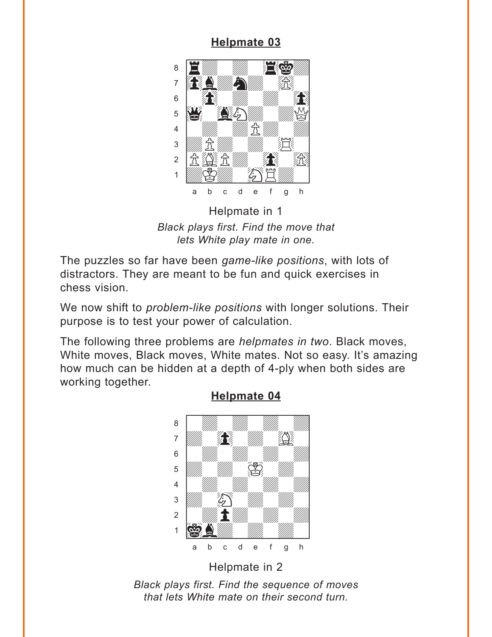<span id="page-2-0"></span>

Helpmate in 1 Black plays first. Find the move that lets White play mate in one.

The puzzles so far have been game-like positions, with lots of distractors. They are meant to be fun and quick exercises in chess vision.

We now shift to *problem-like positions* with longer solutions. Their purpose is to test your power of calculation.

The following three problems are *helpmates in two*. Black moves, White moves, Black moves, White mates. Not so easy. It's amazing how much can be hidden at a depth of 4-ply when both sides are working together.



#### **Helpmate 04**

Helpmate in 2 Black plays first. Find the sequence of moves that lets White mate on their second turn.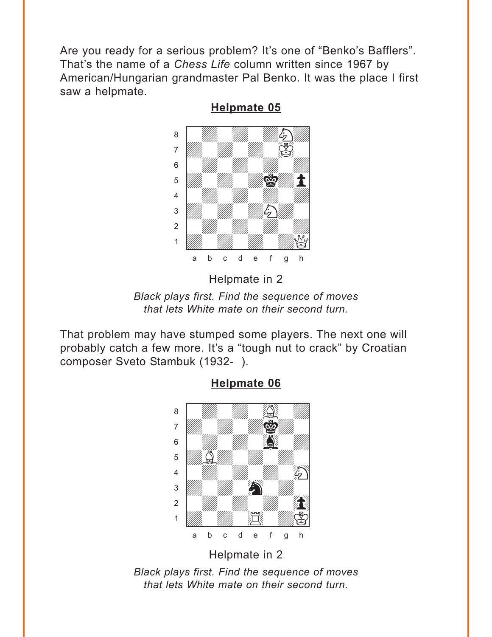<span id="page-3-0"></span>Are you ready for a serious problem? It's one of "Benko's Bafflers". That's the name of a *Chess Life* column written since 1967 by American/Hungarian grandmaster Pal Benko. It was the place I first saw a helpmate.



**[Helpmate 05](#page-10-0)**

Helpmate in 2

*Black plays first. Find the sequence of moves that lets White mate on their second turn.* 

That problem may have stumped some players. The next one will probably catch a few more. It's a "tough nut to crack" by Croatian composer Sveto Stambuk (1932- ).



**[Helpmate 06](#page-11-0)**

Helpmate in 2

*Black plays first. Find the sequence of moves that lets White mate on their second turn.*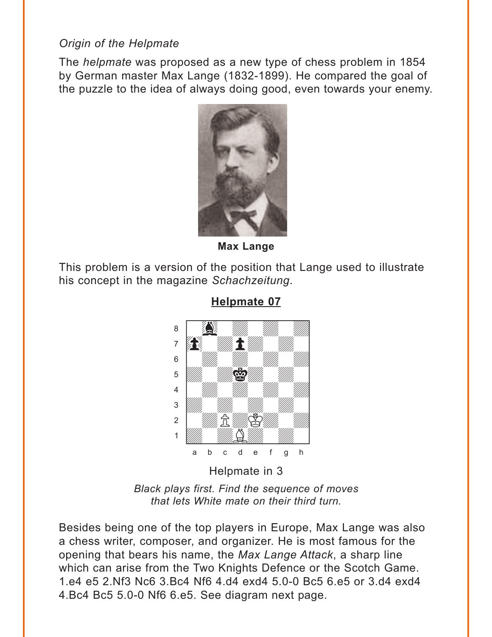## <span id="page-4-0"></span>*Origin of the Helpmate*

The *helpmate* was proposed as a new type of chess problem in 1854 by German master Max Lange (1832-1899). He compared the goal of the puzzle to the idea of always doing good, even towards your enemy.



**Max Lange**

This problem is a version of the position that Lange used to illustrate his concept in the magazine *Schachzeitung*.



**[Helpmate 07](#page-11-0)**

*Black plays first. Find the sequence of moves that lets White mate on their third turn.* 

Besides being one of the top players in Europe, Max Lange was also a chess writer, composer, and organizer. He is most famous for the opening that bears his name, the *Max Lange Attack*, a sharp line which can arise from the Two Knights Defence or the Scotch Game. 1.e4 e5 2.Nf3 Nc6 3.Bc4 Nf6 4.d4 exd4 5.0-0 Bc5 6.e5 or 3.d4 exd4 4.Bc4 Bc5 5.0-0 Nf6 6.e5. See diagram next page.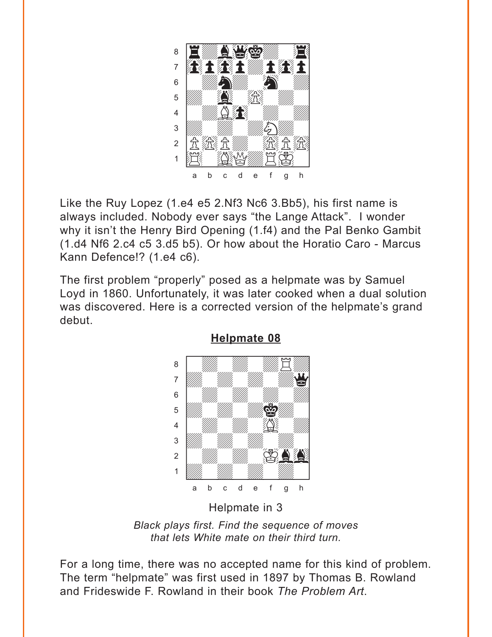<span id="page-5-0"></span>

Like the Ruy Lopez (1.e4 e5 2.Nf3 Nc6 3.Bb5), his first name is always included. Nobody ever says "the Lange Attack". I wonder why it isn't the Henry Bird Opening (1.f4) and the Pal Benko Gambit (1.d4 Nf6 2.c4 c5 3.d5 b5). Or how about the Horatio Caro - Marcus Kann Defence!? (1.e4 c6).

The first problem "properly" posed as a helpmate was by Samuel Loyd in 1860. Unfortunately, it was later cooked when a dual solution was discovered. Here is a corrected version of the helpmate's grand debut.



**Helpmate 08** 

Helpmate in 3

Black plays first. Find the sequence of moves that lets White mate on their third turn.

For a long time, there was no accepted name for this kind of problem. The term "helpmate" was first used in 1897 by Thomas B. Rowland and Frideswide F. Rowland in their book The Problem Art.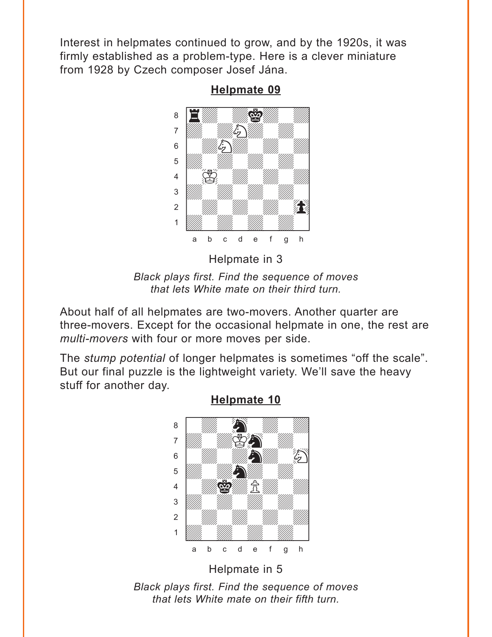<span id="page-6-0"></span>Interest in helpmates continued to grow, and by the 1920s, it was firmly established as a problem-type. Here is a clever miniature from 1928 by Czech composer Josef Jána.

**[Helpmate 09](#page-16-0)**



Helpmate in 3

*Black plays first. Find the sequence of moves that lets White mate on their third turn.* 

About half of all helpmates are two-movers. Another quarter are three-movers. Except for the occasional helpmate in one, the rest are *multi-movers* with four or more moves per side.

The *stump potential* of longer helpmates is sometimes "off the scale". But our final puzzle is the lightweight variety. We'll save the heavy stuff for another day.



#### **[Helpmate 10](#page-17-0)**

*Black plays first. Find the sequence of moves that lets White mate on their fifth turn.*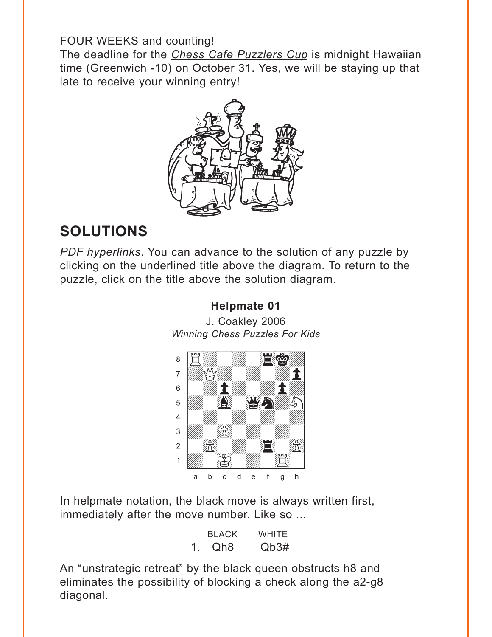#### <span id="page-7-0"></span>FOUR WEEKS and counting!

The deadline for the *Chess Cafe Puzzlers Cup* is midnight Hawaiian time (Greenwich -10) on October 31. Yes, we will be staying up that late to receive your winning entry!



# **SOLUTIONS**

*PDF hyperlinks*. You can advance to the solution of any puzzle by clicking on the underlined title above the diagram. To return to the puzzle, click on the title above the solution diagram.

**[Helpmate 01](#page-0-0)**

J. Coakley 2006 *Winning Chess Puzzles For Kids*



In helpmate notation, the black move is always written first, immediately after the move number. Like so ...

|   | <b>BLACK</b> | <b>WHITE</b> |
|---|--------------|--------------|
| 1 | Qh8          | Qb3#         |

An "unstrategic retreat" by the black queen obstructs h8 and eliminates the possibility of blocking a check along the a2-g8 diagonal.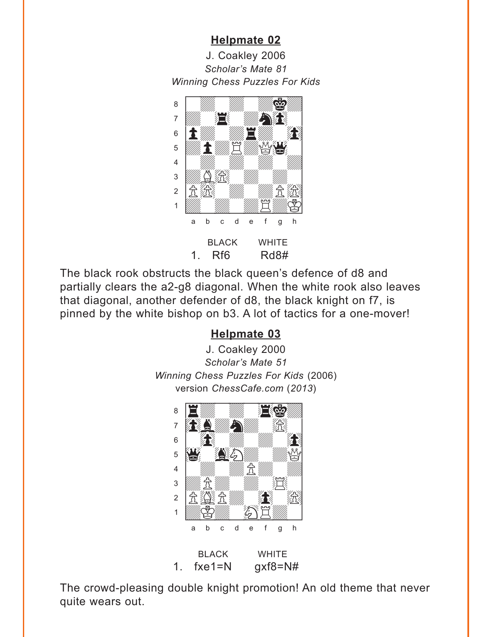<span id="page-8-0"></span>J. Coakley 2006 *Scholar's Mate 81 Winning Chess Puzzles For Kids* w\_\_\_\_\_\_\_\_w



The black rook obstructs the black queen's defence of d8 and partially clears the a2-g8 diagonal. When the white rook also leaves that diagonal, another defender of d8, the black knight on f7, is pinned by the white bishop on b3. A lot of tactics for a one-mover!

#### **[Helpmate 03](#page-2-0)**





The crowd-pleasing double knight promotion! An old theme that never quite wears out.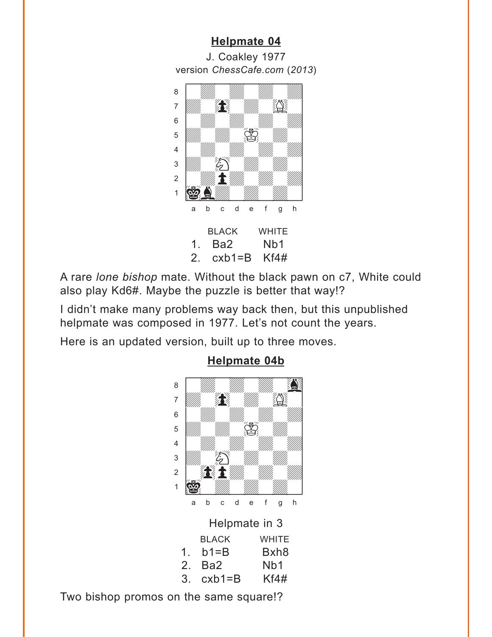<span id="page-9-0"></span>J. Coakley 1977 version *ChessCafe.com* (2013)



A rare *lone bishop* mate. Without the black pawn on c7, White could also play Kd6#. Maybe the puzzle is better that way!?

I didn't make many problems way back then, but this unpublished helpmate was composed in 1977. Let's not count the years.

Here is an updated version, built up to three moves.



# **Helpmate 04b**

Two bishop promos on the same square!?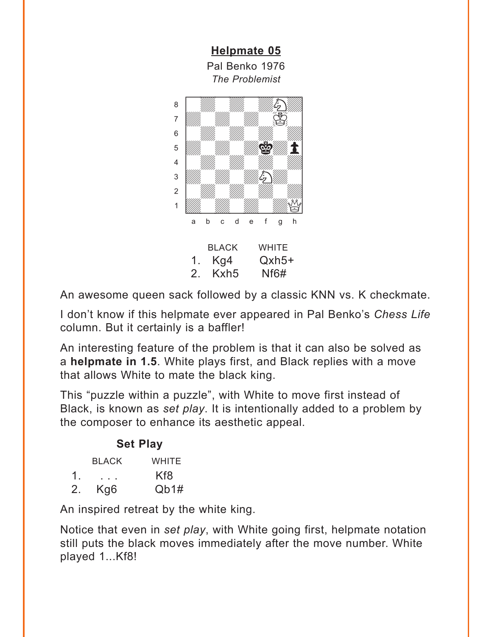<span id="page-10-0"></span>

An awesome queen sack followed by a classic KNN vs. K checkmate.

I don't know if this helpmate ever appeared in Pal Benko's *Chess Life* column. But it certainly is a baffler!

An interesting feature of the problem is that it can also be solved as a **helpmate in 1.5**. White plays first, and Black replies with a move that allows White to mate the black king.

This "puzzle within a puzzle", with White to move first instead of Black, is known as *set play*. It is intentionally added to a problem by the composer to enhance its aesthetic appeal.

|                | <b>Set Play</b> |       |
|----------------|-----------------|-------|
|                | <b>BLACK</b>    | WHITE |
| $\mathbf{1}$   |                 | Kf8   |
| 2 <sub>1</sub> | Kg6             | Qb1#  |

An inspired retreat by the white king.

Notice that even in *set play*, with White going first, helpmate notation still puts the black moves immediately after the move number. White played 1...Kf8!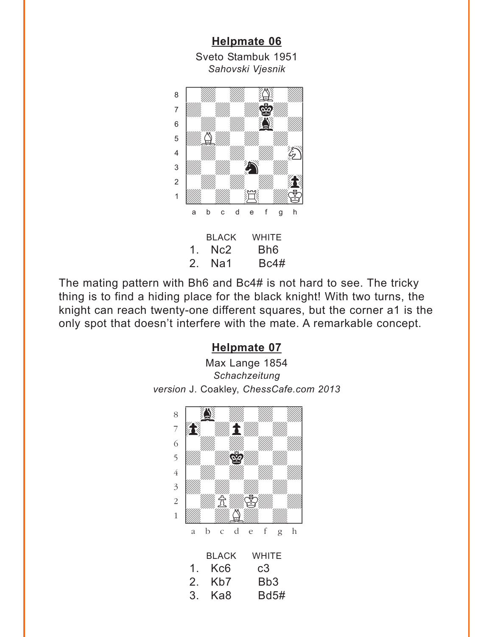<span id="page-11-0"></span>**[Helpmate 06](#page-3-0)** Sveto Stambuk 1951 *Sahovski Vjesnik* where  $\frac{1}{2}$  is the set of  $\frac{1}{2}$  in the set of  $\frac{1}{2}$ 



The mating pattern with Bh6 and Bc4# is not hard to see. The tricky thing is to find a hiding place for the black knight! With two turns, the knight can reach twenty-one different squares, but the corner a1 is the only spot that doesn't interfere with the mate. A remarkable concept.

# **[Helpmate 07](#page-4-0)**

Max Lange 1854 *Schachzeitung version* J. Coakley, *ChessCafe.com 2013*

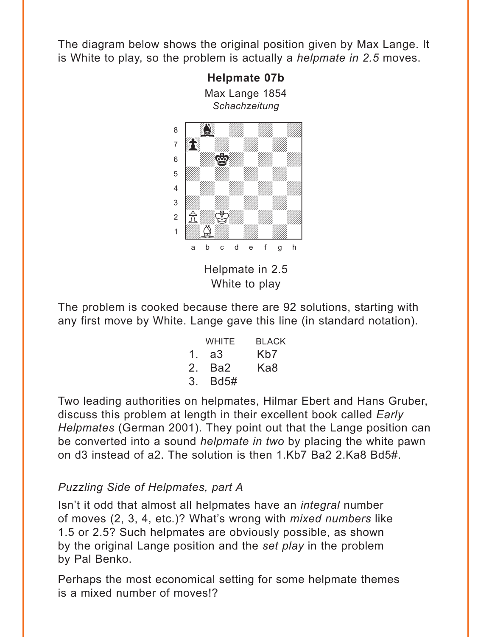The diagram below shows the original position given by Max Lange. It is White to play, so the problem is actually a *helpmate in 2.5* moves.



The problem is cooked because there are 92 solutions, starting with any first move by White. Lange gave this line (in standard notation).

|                | <b>WHITE</b> | <b>BLACK</b>     |
|----------------|--------------|------------------|
| $1 \quad$      | a3           | K <sub>b</sub> 7 |
| 2 <sup>1</sup> | Ba2          | Ka8              |
| 3 <sub>l</sub> | <b>Bd5#</b>  |                  |

Two leading authorities on helpmates, Hilmar Ebert and Hans Gruber, discuss this problem at length in their excellent book called *Early Helpmates* (German 2001). They point out that the Lange position can be converted into a sound *helpmate in two* by placing the white pawn on d3 instead of a2. The solution is then 1.Kb7 Ba2 2.Ka8 Bd5#.

# *Puzzling Side of Helpmates, part A*

Isn't it odd that almost all helpmates have an *integral* number of moves (2, 3, 4, etc.)? What's wrong with *mixed numbers* like 1.5 or 2.5? Such helpmates are obviously possible, as shown by the original Lange position and the *set play* in the problem by Pal Benko.

Perhaps the most economical setting for some helpmate themes is a mixed number of moves!?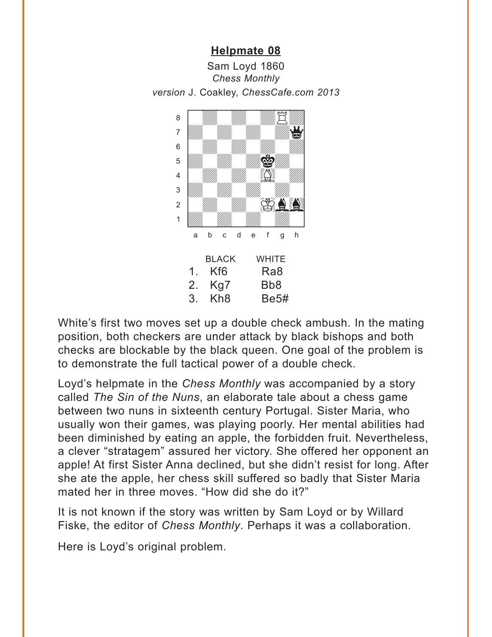<span id="page-13-0"></span>



White's first two moves set up a double check ambush. In the mating position, both checkers are under attack by black bishops and both checks are blockable by the black queen. One goal of the problem is to demonstrate the full tactical power of a double check.

Loyd's helpmate in the *Chess Monthly* was accompanied by a story called *The Sin of the Nuns*, an elaborate tale about a chess game between two nuns in sixteenth century Portugal. Sister Maria, who usually won their games, was playing poorly. Her mental abilities had been diminished by eating an apple, the forbidden fruit. Nevertheless, a clever "stratagem" assured her victory. She offered her opponent an apple! At first Sister Anna declined, but she didn't resist for long. After she ate the apple, her chess skill suffered so badly that Sister Maria mated her in three moves. "How did she do it?"

It is not known if the story was written by Sam Loyd or by Willard Fiske, the editor of *Chess Monthly*. Perhaps it was a collaboration.

Here is Loyd's original problem.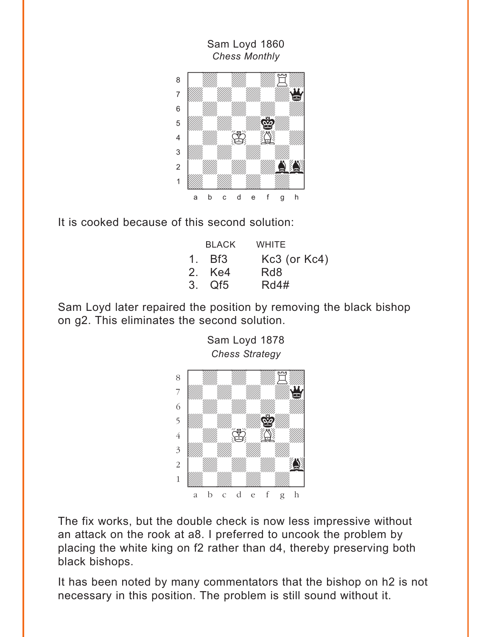

Sam Loyd 1860

It is cooked because of this second solution:

| <b>BLACK</b> | WHITE             |
|--------------|-------------------|
| $1.$ Bf3     | $Kc3$ (or $Kc4$ ) |
| 2. Ke4       | Rd8               |
| 3. Qf5       | Rd4#              |

Sam Loyd later repaired the position by removing the black bishop on g2. This eliminates the second solution.

Sam Loyd 1878



The fix works, but the double check is now less impressive without an attack on the rook at a8. I preferred to uncook the problem by placing the white king on f2 rather than d4, thereby preserving both black bishops.

It has been noted by many commentators that the bishop on h2 is not necessary in this position. The problem is still sound without it.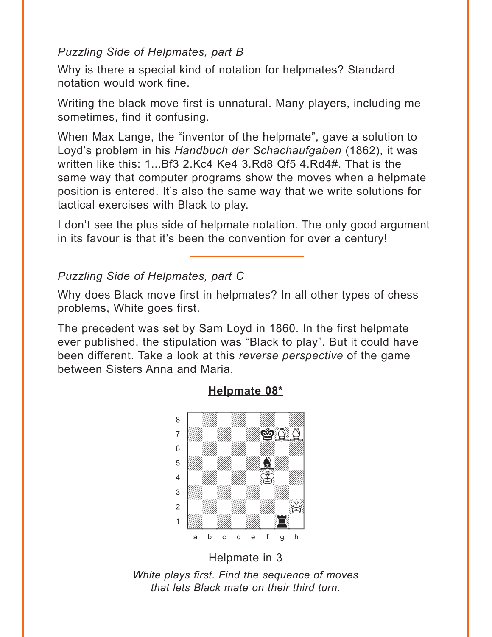## *Puzzling Side of Helpmates, part B*

Why is there a special kind of notation for helpmates? Standard notation would work fine.

Writing the black move first is unnatural. Many players, including me sometimes, find it confusing.

When Max Lange, the "inventor of the helpmate", gave a solution to Loyd's problem in his *Handbuch der Schachaufgaben* (1862), it was written like this: 1...Bf3 2.Kc4 Ke4 3.Rd8 Qf5 4.Rd4#. That is the same way that computer programs show the moves when a helpmate position is entered. It's also the same way that we write solutions for tactical exercises with Black to play.

I don't see the plus side of helpmate notation. The only good argument in its favour is that it's been the convention for over a century!

# *Puzzling Side of Helpmates, part C*

Why does Black move first in helpmates? In all other types of chess problems, White goes first.

The precedent was set by Sam Loyd in 1860. In the first helpmate ever published, the stipulation was "Black to play". But it could have been different. Take a look at this *reverse perspective* of the game between Sisters Anna and Maria.



# **Helpmate 08\***

Helpmate in 3

*White plays first. Find the sequence of moves that lets Black mate on their third turn.*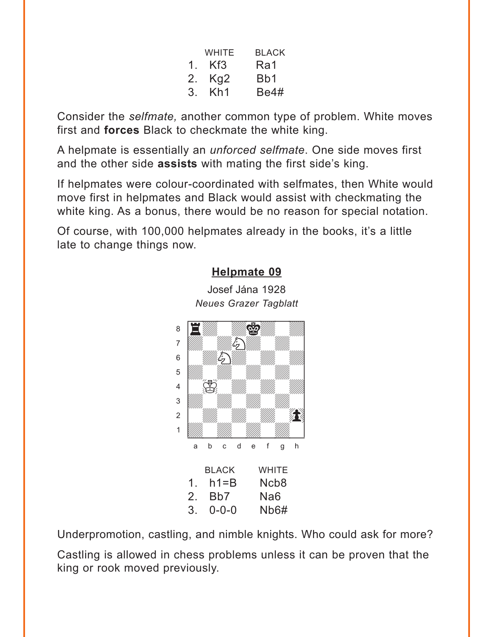|                | WHITE           | <b>BLACK</b> |
|----------------|-----------------|--------------|
| 1 <sup>1</sup> | Kf <sub>3</sub> | Ra1          |
| $2_{\cdot}$    | Kg <sub>2</sub> | Bb1          |
| 3.             | Kh1             | <b>Be4#</b>  |

<span id="page-16-0"></span>Consider the *selfmate,* another common type of problem. White moves first and **forces** Black to checkmate the white king.

A helpmate is essentially an *unforced selfmate*. One side moves first and the other side **assists** with mating the first side's king.

If helpmates were colour-coordinated with selfmates, then White would move first in helpmates and Black would assist with checkmating the white king. As a bonus, there would be no reason for special notation.

Of course, with 100,000 helpmates already in the books, it's a little late to change things now.

#### **[Helpmate 09](#page-6-0)**

Josef Jána 1928 *Neues Grazer Tagblatt* 



Underpromotion, castling, and nimble knights. Who could ask for more?

Castling is allowed in chess problems unless it can be proven that the king or rook moved previously.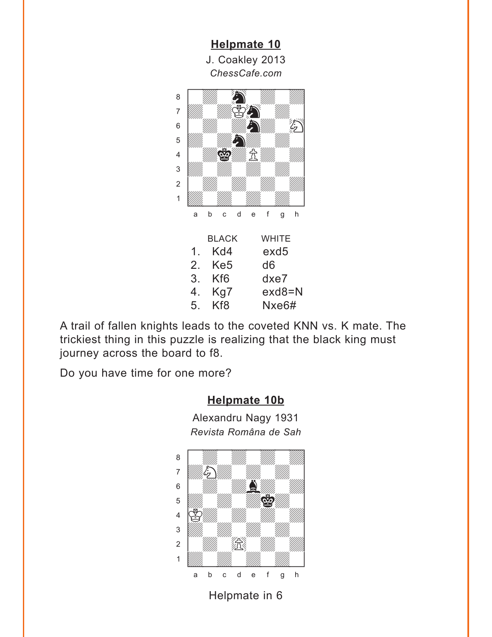<span id="page-17-0"></span>

A trail of fallen knights leads to the coveted KNN vs. K mate. The trickiest thing in this puzzle is realizing that the black king must journey across the board to f8.

Do you have time for one more?

#### **[Helpmate 10b](#page-18-0)**

Alexandru Nagy 1931 *Revista Româna de Sah*



Helpmate in 6